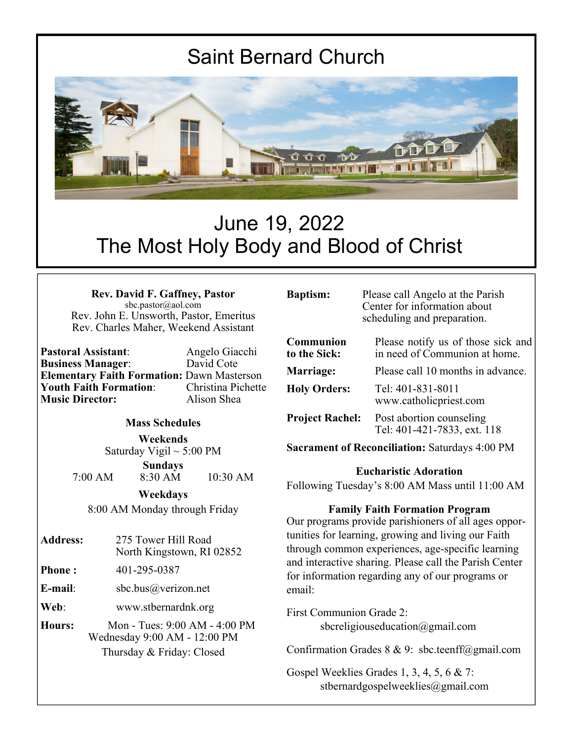# Saint Bernard Church



# June 19, 2022 The Most Holy Body and Blood of Christ

| <b>Rev. David F. Gaffney, Pastor</b>    |  |  |  |
|-----------------------------------------|--|--|--|
| sbc.pastor@aol.com                      |  |  |  |
| Rev. John E. Unsworth, Pastor, Emeritus |  |  |  |
| Rev. Charles Maher, Weekend Assistant   |  |  |  |

**Pastoral Assistant**: Angelo Giacchi **Business Manager: Elementary Faith Formation:** Dawn Masterson **Youth Faith Formation: Music Director:** Alison Shea

#### **Mass Schedules**

**Weekends**  Saturday Vigil  $\sim$  5:00 PM

**Sundays**  7:00 AM 8:30 AM 10:30 AM

**Weekdays** 

8:00 AM Monday through Friday

- **Address:** 275 Tower Hill Road North Kingstown, RI 02852
- **Phone :** 401-295-0387
- **E-mail**: sbc.bus@verizon.net

**Web**: www.stbernardnk.org

**Hours:** Mon - Tues: 9:00 AM - 4:00 PM Wednesday 9:00 AM - 12:00 PM Thursday & Friday: Closed

Please call Angelo at the Parish Center for information about scheduling and preparation.

| Communion<br>to the Sick: | Please notify us of those sick and<br>in need of Communion at home. |  |
|---------------------------|---------------------------------------------------------------------|--|
| Marriage:                 | Please call 10 months in advance.                                   |  |
| <b>Holy Orders:</b>       | Tel: 401-831-8011<br>www.catholicpriest.com                         |  |
| <b>Project Rachel:</b>    | Post abortion counseling<br>Tel: 401-421-7833, ext. 118             |  |

**Sacrament of Reconciliation:** Saturdays 4:00 PM

#### **Eucharistic Adoration**

Following Tuesday's 8:00 AM Mass until 11:00 AM

#### **Family Faith Formation Program**

Our programs provide parishioners of all ages opportunities for learning, growing and living our Faith through common experiences, age-specific learning and interactive sharing. Please call the Parish Center for information regarding any of our programs or email:

First Communion Grade 2: sbcreligiouseducation@gmail.com

Confirmation Grades  $8 \& 9$ : sbc.teenff@gmail.com

Gospel Weeklies Grades 1, 3, 4, 5, 6 & 7: stbernardgospelweeklies@gmail.com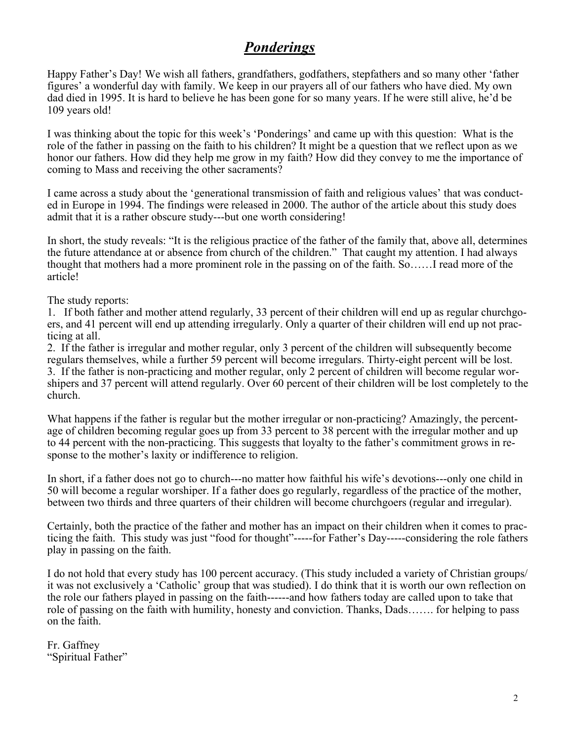## *Ponderings*

Happy Father's Day! We wish all fathers, grandfathers, godfathers, stepfathers and so many other 'father figures' a wonderful day with family. We keep in our prayers all of our fathers who have died. My own dad died in 1995. It is hard to believe he has been gone for so many years. If he were still alive, he'd be 109 years old!

I was thinking about the topic for this week's 'Ponderings' and came up with this question: What is the role of the father in passing on the faith to his children? It might be a question that we reflect upon as we honor our fathers. How did they help me grow in my faith? How did they convey to me the importance of coming to Mass and receiving the other sacraments?

I came across a study about the 'generational transmission of faith and religious values' that was conducted in Europe in 1994. The findings were released in 2000. The author of the article about this study does admit that it is a rather obscure study---but one worth considering!

In short, the study reveals: "It is the religious practice of the father of the family that, above all, determines the future attendance at or absence from church of the children." That caught my attention. I had always thought that mothers had a more prominent role in the passing on of the faith. So……I read more of the article!

The study reports:

1. If both father and mother attend regularly, 33 percent of their children will end up as regular churchgoers, and 41 percent will end up attending irregularly. Only a quarter of their children will end up not practicing at all.

2. If the father is irregular and mother regular, only 3 percent of the children will subsequently become regulars themselves, while a further 59 percent will become irregulars. Thirty-eight percent will be lost. 3. If the father is non-practicing and mother regular, only 2 percent of children will become regular worshipers and 37 percent will attend regularly. Over 60 percent of their children will be lost completely to the church.

What happens if the father is regular but the mother irregular or non-practicing? Amazingly, the percentage of children becoming regular goes up from 33 percent to 38 percent with the irregular mother and up to 44 percent with the non-practicing. This suggests that loyalty to the father's commitment grows in response to the mother's laxity or indifference to religion.

In short, if a father does not go to church---no matter how faithful his wife's devotions---only one child in 50 will become a regular worshiper. If a father does go regularly, regardless of the practice of the mother, between two thirds and three quarters of their children will become churchgoers (regular and irregular).

Certainly, both the practice of the father and mother has an impact on their children when it comes to practicing the faith. This study was just "food for thought"-----for Father's Day-----considering the role fathers play in passing on the faith.

I do not hold that every study has 100 percent accuracy. (This study included a variety of Christian groups/ it was not exclusively a 'Catholic' group that was studied). I do think that it is worth our own reflection on the role our fathers played in passing on the faith------and how fathers today are called upon to take that role of passing on the faith with humility, honesty and conviction. Thanks, Dads……. for helping to pass on the faith.

Fr. Gaffney "Spiritual Father"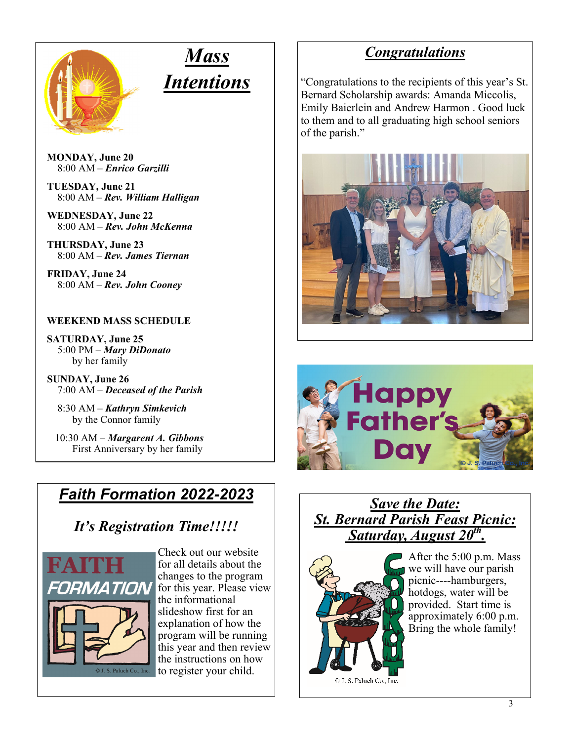

# *Mass Intentions*

**MONDAY, June 20**  8:00 AM – *Enrico Garzilli* 

**TUESDAY, June 21**  8:00 AM – *Rev. William Halligan* 

 **WEDNESDAY, June 22** 8:00 AM – *Rev. John McKenna* 

**THURSDAY, June 23**  8:00 AM – *Rev. James Tiernan* 

**FRIDAY, June 24** 8:00 AM – *Rev. John Cooney*

#### **WEEKEND MASS SCHEDULE**

**SATURDAY, June 25**  5:00 PM – *Mary DiDonato*  by her family

**SUNDAY, June 26** 7:00 AM – *Deceased of the Parish* 

8:30 AM – *Kathryn Simkevich*  by the Connor family

 10:30 AM – *Margarent A. Gibbons*  First Anniversary by her family

# *Faith Formation 2022-2023*

# *It's Registration Time!!!!!*



Check out our website for all details about the changes to the program for this year. Please view the informational slideshow first for an explanation of how the program will be running this year and then review the instructions on how to register your child.

## *Congratulations*

"Congratulations to the recipients of this year's St. Bernard Scholarship awards: Amanda Miccolis, Emily Baierlein and Andrew Harmon . Good luck to them and to all graduating high school seniors of the parish."





#### *Save the Date: St. Bernard Parish Feast Picnic: Saturday, August 20th.*



After the 5:00 p.m. Mass we will have our parish picnic----hamburgers, hotdogs, water will be provided. Start time is approximately 6:00 p.m. Bring the whole family!

© J. S. Paluch Co., Inc.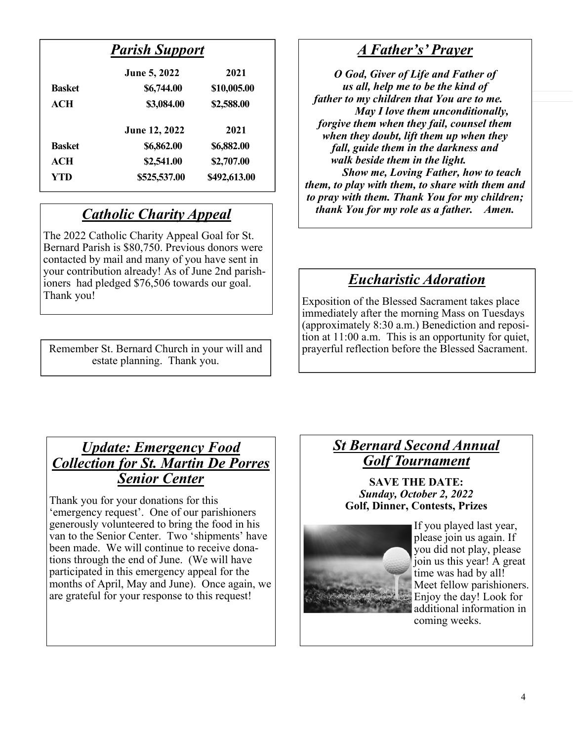### *Parish Support*

|               | June 5, 2022  | 2021         |
|---------------|---------------|--------------|
| <b>Basket</b> | \$6,744.00    | \$10,005.00  |
| <b>ACH</b>    | \$3,084.00    | \$2,588.00   |
|               | June 12, 2022 | 2021         |
| <b>Basket</b> | \$6,862.00    | \$6,882.00   |
| ACH           | \$2,541.00    | \$2,707.00   |
| YTD           | \$525,537.00  | \$492,613.00 |

## *Catholic Charity Appeal*

The 2022 Catholic Charity Appeal Goal for St. Bernard Parish is \$80,750. Previous donors were contacted by mail and many of you have sent in your contribution already! As of June 2nd parishioners had pledged \$76,506 towards our goal. Thank you!

Remember St. Bernard Church in your will and estate planning. Thank you.

### *A Father's' Prayer*

*O God, Giver of Life and Father of us all, help me to be the kind of father to my children that You are to me. May I love them unconditionally, forgive them when they fail, counsel them when they doubt, lift them up when they fall, guide them in the darkness and walk beside them in the light. Show me, Loving Father, how to teach them, to play with them, to share with them and to pray with them. Thank You for my children; thank You for my role as a father. Amen.* 

## *Eucharistic Adoration*

Exposition of the Blessed Sacrament takes place immediately after the morning Mass on Tuesdays (approximately 8:30 a.m.) Benediction and reposition at 11:00 a.m. This is an opportunity for quiet, prayerful reflection before the Blessed Sacrament.

#### *Update: Emergency Food Collection for St. Martin De Porres Senior Center*

Thank you for your donations for this 'emergency request'. One of our parishioners generously volunteered to bring the food in his van to the Senior Center. Two 'shipments' have been made. We will continue to receive donations through the end of June. (We will have participated in this emergency appeal for the months of April, May and June). Once again, we are grateful for your response to this request!

#### *St Bernard Second Annual Golf Tournament*

**SAVE THE DATE:**  *Sunday, October 2, 2022*  **Golf, Dinner, Contests, Prizes** 



If you played last year, please join us again. If you did not play, please join us this year! A great time was had by all! Meet fellow parishioners. Enjoy the day! Look for additional information in coming weeks.